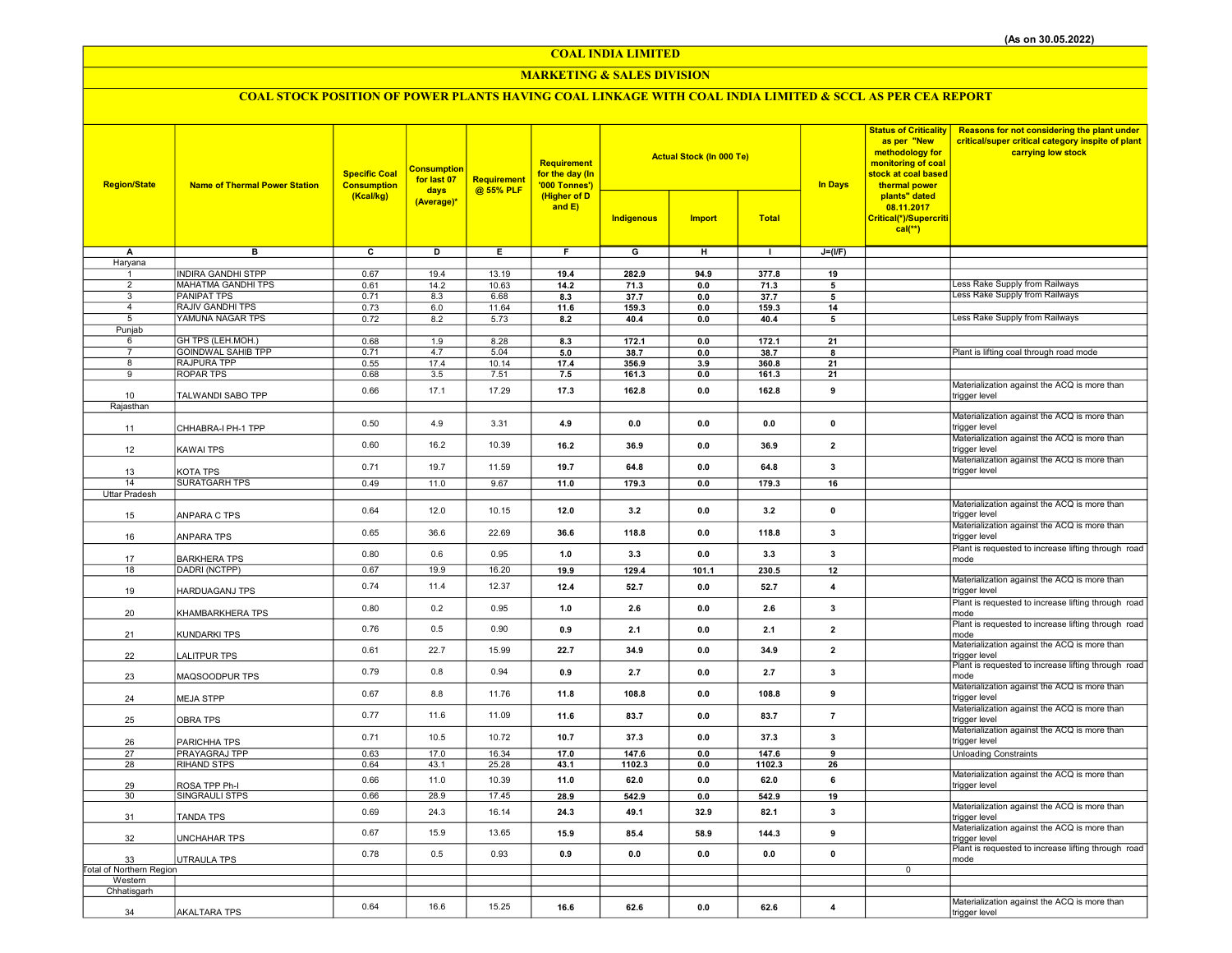COAL INDIA LIMITED

## MARKETING & SALES DIVISION

# COAL STOCK POSITION OF POWER PLANTS HAVING COAL LINKAGE WITH COAL INDIA LIMITED & SCCL AS PER CEA REPORT

| <b>Region/State</b>                 | <b>Name of Thermal Power Station</b> | <b>Specific Coal</b><br><b>Consumption</b> | <b>Consumption</b><br>for last 07<br>days | Requirement<br>@ 55% PLF | <b>Requirement</b><br>for the day (In<br>'000 Tonnes') |                         | <b>Actual Stock (In 000 Te)</b> |              | <b>In Days</b>          | <b>Status of Criticality</b><br>as per "New<br>methodology for<br>monitoring of coal<br>stock at coal based<br>thermal power | <b>Reasons for not considering the plant under</b><br>critical/super critical category inspite of plant<br>carrying low stock |
|-------------------------------------|--------------------------------------|--------------------------------------------|-------------------------------------------|--------------------------|--------------------------------------------------------|-------------------------|---------------------------------|--------------|-------------------------|------------------------------------------------------------------------------------------------------------------------------|-------------------------------------------------------------------------------------------------------------------------------|
|                                     |                                      | (Kcal/kg)                                  | (Average)*                                |                          | (Higher of D<br>and E)                                 | Indigenous              | <b>Import</b>                   | <b>Total</b> |                         | plants" dated<br>08.11.2017<br>Critical(*)/Supercriti<br>$cal$ (**)                                                          |                                                                                                                               |
| А                                   | $\overline{\mathbf{B}}$              | $\overline{\mathbf{c}}$                    | ъ                                         | Έ                        | F                                                      | $\overline{\mathsf{G}}$ | $\overline{H}$                  | $\mathbf{I}$ | $J=(I/F)$               |                                                                                                                              |                                                                                                                               |
| Haryana                             | <b>INDIRA GANDHI STPP</b>            | 0.67                                       | 19.4                                      | 13.19                    | 19.4                                                   | 282.9                   | 94.9                            | 377.8        | 19                      |                                                                                                                              |                                                                                                                               |
| $\overline{2}$                      | <b>MAHATMA GANDHI TPS</b>            | 0.61                                       | 14.2                                      | 10.63                    | 14.2                                                   | 71.3                    | 0.0                             | 71.3         | 5                       |                                                                                                                              | Less Rake Supply from Railways                                                                                                |
| 3                                   | <b>PANIPAT TPS</b>                   | 0.71                                       | 8.3                                       | 6.68                     | 8.3                                                    | 37.7                    | 0.0                             | 37.7         | 5                       |                                                                                                                              | Less Rake Supply from Railways                                                                                                |
| $\overline{4}$                      | <b>RAJIV GANDHI TPS</b>              | 0.73                                       | $6.0\,$                                   | 11.64                    | 11.6                                                   | 159.3                   | 0.0                             | 159.3        | 14                      |                                                                                                                              |                                                                                                                               |
| 5                                   | YAMUNA NAGAR TPS                     | 0.72                                       | 8.2                                       | 5.73                     | 8.2                                                    | 40.4                    | 0.0                             | 40.4         | 5                       |                                                                                                                              | Less Rake Supply from Railways                                                                                                |
| Punjab<br>6                         | GH TPS (LEH.MOH.)                    | 0.68                                       | 1.9                                       | 8.28                     | 8.3                                                    | 172.1                   | 0.0                             | 172.1        | 21                      |                                                                                                                              |                                                                                                                               |
| $\overline{7}$                      | <b>GOINDWAL SAHIB TPP</b>            | 0.71                                       | 4.7                                       | 5.04                     | 5.0                                                    | 38.7                    | $0.0\,$                         | 38.7         | R                       |                                                                                                                              | Plant is lifting coal through road mode                                                                                       |
| 8                                   | <b>RAJPURA TPP</b>                   | 0.55                                       | 17.4                                      | 10.14                    | 17.4                                                   | 356.9                   | 3.9                             | 360.8        | 21                      |                                                                                                                              |                                                                                                                               |
| $\overline{9}$                      | <b>ROPAR TPS</b>                     | 0.68                                       | 3.5                                       | 7.51                     | 7.5                                                    | 161.3                   | 0.0                             | 161.3        | 21                      |                                                                                                                              |                                                                                                                               |
| 10                                  | TALWANDI SABO TPP                    | 0.66                                       | 17.1                                      | 17.29                    | 17.3                                                   | 162.8                   | 0.0                             | 162.8        | 9                       |                                                                                                                              | Materialization against the ACQ is more than<br>trigger level                                                                 |
| Rajasthan                           |                                      |                                            |                                           |                          |                                                        |                         |                                 |              |                         |                                                                                                                              |                                                                                                                               |
|                                     |                                      | 0.50                                       | 4.9                                       | 3.31                     | 4.9                                                    | 0.0                     | 0.0                             | 0.0          | $\pmb{0}$               |                                                                                                                              | Materialization against the ACQ is more than                                                                                  |
| 11                                  | CHHABRA-I PH-1 TPP                   |                                            |                                           |                          |                                                        |                         |                                 |              |                         |                                                                                                                              | trigger level<br>Materialization against the ACQ is more than                                                                 |
| 12                                  | KAWAI TPS                            | 0.60                                       | 16.2                                      | 10.39                    | 16.2                                                   | 36.9                    | 0.0                             | 36.9         | $\overline{2}$          |                                                                                                                              | trigger level                                                                                                                 |
|                                     |                                      | 0.71                                       | 19.7                                      | 11.59                    | 19.7                                                   | 64.8                    | 0.0                             | 64.8         | 3                       |                                                                                                                              | Materialization against the ACQ is more than                                                                                  |
| 13                                  | KOTA TPS                             |                                            |                                           |                          |                                                        |                         |                                 |              |                         |                                                                                                                              | trigger level                                                                                                                 |
| 14<br><b>Uttar Pradesh</b>          | <b>SURATGARH TPS</b>                 | 0.49                                       | 11.0                                      | 9.67                     | 11.0                                                   | 179.3                   | 0.0                             | 179.3        | 16                      |                                                                                                                              |                                                                                                                               |
|                                     |                                      |                                            |                                           |                          |                                                        |                         |                                 |              |                         |                                                                                                                              | Materialization against the ACQ is more than                                                                                  |
| 15                                  | ANPARA C TPS                         | 0.64                                       | 12.0                                      | 10.15                    | 12.0                                                   | 3.2                     | 0.0                             | 3.2          | $\pmb{0}$               |                                                                                                                              | trigger level                                                                                                                 |
|                                     |                                      | 0.65                                       | 36.6                                      | 22.69                    | 36.6                                                   | 118.8                   | 0.0                             | 118.8        | 3                       |                                                                                                                              | Materialization against the ACQ is more than<br>trigger level                                                                 |
| 16                                  | ANPARA TPS                           |                                            |                                           |                          |                                                        |                         |                                 |              |                         |                                                                                                                              | Plant is requested to increase lifting through road                                                                           |
| 17                                  | <b>BARKHERA TPS</b>                  | 0.80                                       | 0.6                                       | 0.95                     | 1.0                                                    | 3.3                     | 0.0                             | 3.3          | 3                       |                                                                                                                              | mode                                                                                                                          |
| 18                                  | DADRI (NCTPP)                        | 0.67                                       | 19.9                                      | 16.20                    | 19.9                                                   | 129.4                   | 101.1                           | 230.5        | 12                      |                                                                                                                              |                                                                                                                               |
| 19                                  | HARDUAGANJ TPS                       | 0.74                                       | 11.4                                      | 12.37                    | 12.4                                                   | 52.7                    | 0.0                             | 52.7         | $\pmb{4}$               |                                                                                                                              | Materialization against the ACQ is more than<br>trigger level                                                                 |
|                                     |                                      |                                            |                                           |                          |                                                        |                         |                                 |              |                         |                                                                                                                              | Plant is requested to increase lifting through road                                                                           |
| 20                                  | KHAMBARKHERA TPS                     | 0.80                                       | 0.2                                       | 0.95                     | 1.0                                                    | 2.6                     | 0.0                             | 2.6          | 3                       |                                                                                                                              | mode                                                                                                                          |
|                                     | KUNDARKI TPS                         | 0.76                                       | 0.5                                       | 0.90                     | 0.9                                                    | 2.1                     | 0.0                             | 2.1          | $\overline{2}$          |                                                                                                                              | Plant is requested to increase lifting through road                                                                           |
| 21                                  |                                      |                                            |                                           |                          |                                                        |                         |                                 |              |                         |                                                                                                                              | mode<br>Materialization against the ACQ is more than                                                                          |
| 22                                  | LALITPUR TPS                         | 0.61                                       | 22.7                                      | 15.99                    | 22.7                                                   | 34.9                    | 0.0                             | 34.9         | $\overline{2}$          |                                                                                                                              | trigger level                                                                                                                 |
| 23                                  | MAQSOODPUR TPS                       | 0.79                                       | 0.8                                       | 0.94                     | 0.9                                                    | 2.7                     | 0.0                             | 2.7          | 3                       |                                                                                                                              | Plant is requested to increase lifting through road<br>mode                                                                   |
|                                     |                                      |                                            |                                           |                          |                                                        |                         |                                 |              |                         |                                                                                                                              | Materialization against the ACQ is more than                                                                                  |
| 24                                  | <b>MEJA STPP</b>                     | 0.67                                       | 8.8                                       | 11.76                    | 11.8                                                   | 108.8                   | 0.0                             | 108.8        | 9                       |                                                                                                                              | trigger level                                                                                                                 |
|                                     |                                      | 0.77                                       | 11.6                                      | 11.09                    | 11.6                                                   | 83.7                    | 0.0                             | 83.7         | $\overline{7}$          |                                                                                                                              | Materialization against the ACQ is more than                                                                                  |
| 25                                  | <b>OBRA TPS</b>                      |                                            |                                           |                          |                                                        |                         |                                 |              |                         |                                                                                                                              | trigger level<br>Materialization against the ACQ is more than                                                                 |
| 26                                  | PARICHHA TPS                         | 0.71                                       | 10.5                                      | 10.72                    | 10.7                                                   | 37.3                    | 0.0                             | 37.3         | 3                       |                                                                                                                              | trigger level                                                                                                                 |
| 27                                  | PRAYAGRAJ TPP                        | 0.63                                       | 17.0                                      | 16.34                    | 17.0                                                   | 147.6                   | 0.0                             | 147.6        | 9                       |                                                                                                                              | <b>Unloading Constraints</b>                                                                                                  |
| 28                                  | <b>RIHAND STPS</b>                   | 0.64                                       | 43.1                                      | 25.28                    | 43.1                                                   | 1102.3                  | 0.0                             | 1102.3       | 26                      |                                                                                                                              |                                                                                                                               |
| 29                                  | ROSA TPP Ph-I                        | 0.66                                       | 11.0                                      | 10.39                    | 11.0                                                   | 62.0                    | 0.0                             | 62.0         | 6                       |                                                                                                                              | Materialization against the ACQ is more than<br>trigger level                                                                 |
| 30                                  | <b>SINGRAULI STPS</b>                | 0.66                                       | 28.9                                      | 17.45                    | 28.9                                                   | 542.9                   | 0.0                             | 542.9        | 19                      |                                                                                                                              |                                                                                                                               |
|                                     |                                      | 0.69                                       | 24.3                                      | 16.14                    | 24.3                                                   | 49.1                    | 32.9                            | 82.1         | 3                       |                                                                                                                              | Materialization against the ACQ is more than                                                                                  |
| 31                                  | TANDA TPS                            |                                            |                                           |                          |                                                        |                         |                                 |              |                         |                                                                                                                              | trigger level<br>Materialization against the ACQ is more than                                                                 |
| 32                                  | <b>UNCHAHAR TPS</b>                  | 0.67                                       | 15.9                                      | 13.65                    | 15.9                                                   | 85.4                    | 58.9                            | 144.3        | 9                       |                                                                                                                              | trigger level                                                                                                                 |
|                                     |                                      | 0.78                                       | 0.5                                       | 0.93                     | 0.9                                                    | 0.0                     | 0.0                             | 0.0          | $\mathbf{0}$            |                                                                                                                              | Plant is requested to increase lifting through road                                                                           |
| 33                                  | UTRAULA TPS                          |                                            |                                           |                          |                                                        |                         |                                 |              |                         | $\mathbf 0$                                                                                                                  | mode                                                                                                                          |
| Total of Northern Region<br>Western |                                      |                                            |                                           |                          |                                                        |                         |                                 |              |                         |                                                                                                                              |                                                                                                                               |
| Chhatisgarh                         |                                      |                                            |                                           |                          |                                                        |                         |                                 |              |                         |                                                                                                                              |                                                                                                                               |
|                                     |                                      | 0.64                                       | 16.6                                      | 15.25                    | 16.6                                                   | 62.6                    | 0.0                             | 62.6         | $\overline{\mathbf{4}}$ |                                                                                                                              | Materialization against the ACQ is more than                                                                                  |
| 34                                  | <b>AKALTARA TPS</b>                  |                                            |                                           |                          |                                                        |                         |                                 |              |                         |                                                                                                                              | trigger level                                                                                                                 |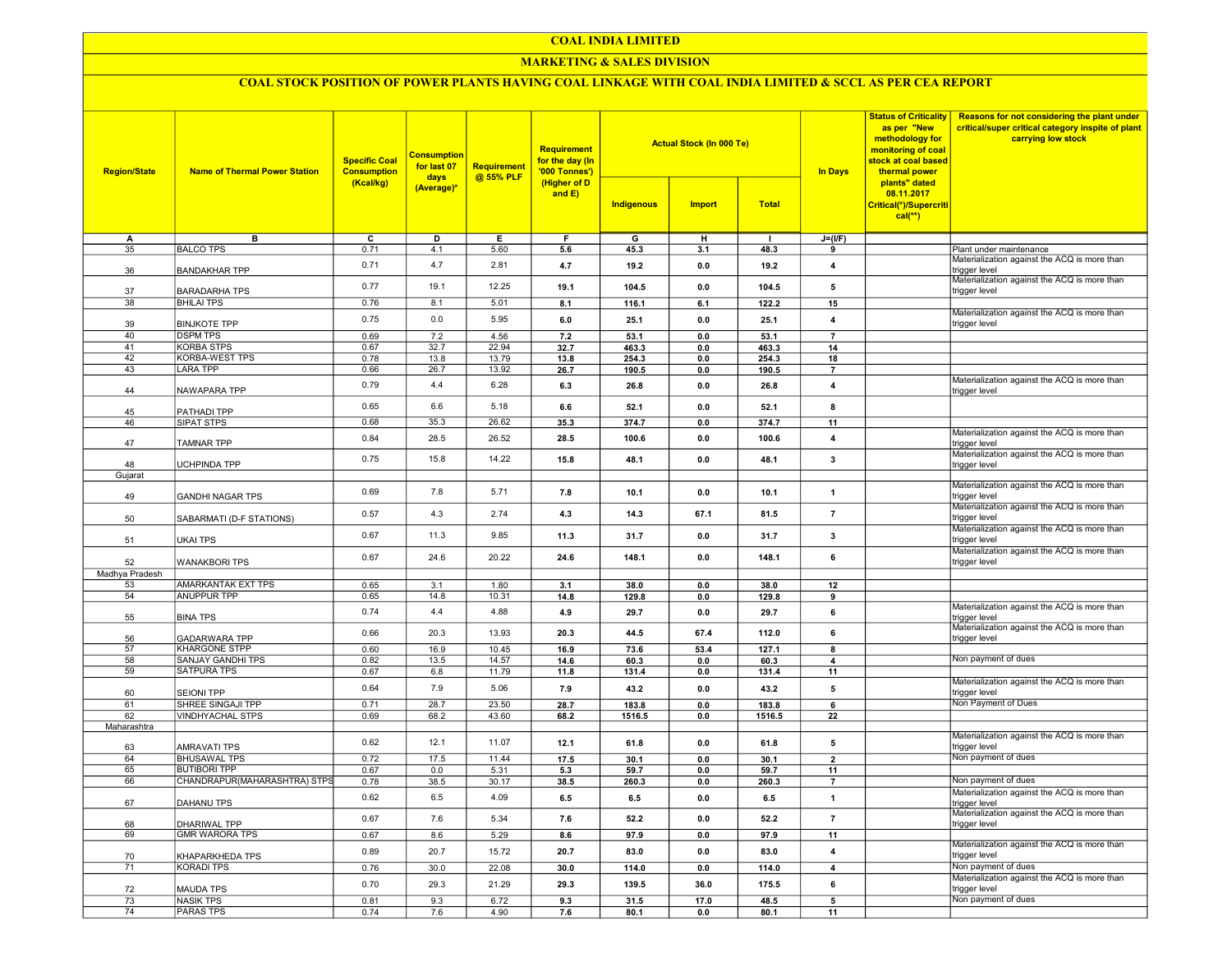#### COAL INDIA LIMITED

#### MARKETING & SALES DIVISION

# COAL STOCK POSITION OF POWER PLANTS HAVING COAL LINKAGE WITH COAL INDIA LIMITED & SCCL AS PER CEA REPORT

| <b>Region/State</b> | <b>Name of Thermal Power Station</b>    | <b>Specific Coal</b><br><b>Consumption</b><br>(Kcal/kg) | <b>Consumption</b><br>for last 07<br>days<br>(Average)* | <b>Requirement</b><br>@ 55% PLF | <b>Requirement</b><br>for the day (In<br>'000 Tonnes')<br>(Higher of D<br>and E) |                | <b>Actual Stock (In 000 Te)</b> |                | <b>Status of Criticality</b><br>as per "New<br>methodology for<br>monitoring of coal<br>stock at coal based<br>In Days<br>thermal power | Reasons for not considering the plant under<br>critical/super critical category inspite of plant<br>carrying low stock |                                                                     |
|---------------------|-----------------------------------------|---------------------------------------------------------|---------------------------------------------------------|---------------------------------|----------------------------------------------------------------------------------|----------------|---------------------------------|----------------|-----------------------------------------------------------------------------------------------------------------------------------------|------------------------------------------------------------------------------------------------------------------------|---------------------------------------------------------------------|
|                     |                                         |                                                         |                                                         |                                 |                                                                                  | Indigenous     | <b>Import</b>                   | <b>Total</b>   |                                                                                                                                         | plants" dated<br>08.11.2017<br>Critical(*)/Supercriti<br>$cal$ (**)                                                    |                                                                     |
| A                   | в                                       | ᢎ                                                       | D                                                       | Е.                              | Е                                                                                | G              | н                               | п              | $J=(I/F)$                                                                                                                               |                                                                                                                        |                                                                     |
| 35                  | <b>BALCO TPS</b>                        | 0.71                                                    | 4.1                                                     | 5.60                            | 5.6                                                                              | 45.3           | 3.1                             | 48.3           | 9                                                                                                                                       |                                                                                                                        | Plant under maintenance                                             |
| 36                  | <b>BANDAKHAR TPP</b>                    | 0.71                                                    | 4.7                                                     | 2.81                            | 4.7                                                                              | 19.2           | 0.0                             | 19.2           | $\overline{\mathbf{4}}$                                                                                                                 |                                                                                                                        | Materialization against the ACQ is more than<br>trigger level       |
| 37                  | <b>BARADARHA TPS</b>                    | 0.77                                                    | 19.1                                                    | 12.25                           | 19.1                                                                             | 104.5          | 0.0                             | 104.5          | 5                                                                                                                                       |                                                                                                                        | Materialization against the ACQ is more than<br>trigger level       |
| 38                  | <b>BHILAI TPS</b>                       | 0.76                                                    | 8.1                                                     | 5.01                            | 8.1                                                                              | 116.1          | 6.1                             | 122.2          | 15                                                                                                                                      |                                                                                                                        | Materialization against the ACQ is more than                        |
| 39                  | <b>BINJKOTE TPP</b>                     | 0.75                                                    | 0.0                                                     | 5.95                            | 6.0                                                                              | 25.1           | 0.0                             | 25.1           | $\overline{4}$                                                                                                                          |                                                                                                                        | trigger level                                                       |
| 40<br>41            | <b>DSPM TPS</b><br><b>KORBA STPS</b>    | 0.69                                                    | 7.2                                                     | 4.56                            | 7.2                                                                              | 53.1           | 0.0                             | 53.1           | $\overline{7}$                                                                                                                          |                                                                                                                        |                                                                     |
| 42                  | <b>KORBA-WEST TPS</b>                   | 0.67<br>0.78                                            | 32.7<br>13.8                                            | 22.94<br>13.79                  | 32.7<br>13.8                                                                     | 463.3<br>254.3 | 0.0<br>0.0                      | 463.3<br>254.3 | 14<br>18                                                                                                                                |                                                                                                                        |                                                                     |
| 43                  | <b>LARA TPP</b>                         | 0.66                                                    | 26.7                                                    | 13.92                           | 26.7                                                                             | 190.5          | 0.0                             | 190.5          | $\overline{7}$                                                                                                                          |                                                                                                                        |                                                                     |
| 44                  | NAWAPARA TPP                            | 0.79                                                    | 4.4                                                     | 6.28                            | 6.3                                                                              | 26.8           | 0.0                             | 26.8           | $\overline{\mathbf{4}}$                                                                                                                 |                                                                                                                        | Materialization against the ACQ is more than<br>trigger level       |
| 45                  | PATHADI TPP                             | 0.65                                                    | 6.6                                                     | 5.18                            | 6.6                                                                              | 52.1           | 0.0                             | 52.1           | 8                                                                                                                                       |                                                                                                                        |                                                                     |
| 46                  | SIPAT STPS                              | 0.68                                                    | 35.3                                                    | 26.62                           | 35.3                                                                             | 374.7          | 0.0                             | 374.7          | 11                                                                                                                                      |                                                                                                                        |                                                                     |
| 47                  | <b>TAMNAR TPP</b>                       | 0.84                                                    | 28.5                                                    | 26.52                           | 28.5                                                                             | 100.6          | 0.0                             | 100.6          | $\overline{4}$                                                                                                                          |                                                                                                                        | Materialization against the ACQ is more than<br>trigger level       |
|                     |                                         | 0.75                                                    | 15.8                                                    | 14.22                           | 15.8                                                                             | 48.1           | 0.0                             | 48.1           | 3                                                                                                                                       |                                                                                                                        | Materialization against the ACQ is more than                        |
| 48<br>Gujarat       | <b>UCHPINDA TPP</b>                     |                                                         |                                                         |                                 |                                                                                  |                |                                 |                |                                                                                                                                         |                                                                                                                        | trigger level                                                       |
|                     |                                         |                                                         |                                                         |                                 |                                                                                  |                |                                 |                |                                                                                                                                         |                                                                                                                        | Materialization against the ACQ is more than                        |
| 49                  | <b>GANDHI NAGAR TPS</b>                 | 0.69                                                    | 7.8                                                     | 5.71                            | 7.8                                                                              | 10.1           | 0.0                             | 10.1           | $\mathbf{1}$                                                                                                                            |                                                                                                                        | rigger level<br>Materialization against the ACQ is more than        |
| 50                  | SABARMATI (D-F STATIONS)                | 0.57                                                    | 4.3                                                     | 2.74                            | 4.3                                                                              | 14.3           | 67.1                            | 81.5           | $\overline{7}$                                                                                                                          |                                                                                                                        | trigger level<br>Materialization against the ACQ is more than       |
| 51                  | <b>UKAI TPS</b>                         | 0.67                                                    | 11.3                                                    | 9.85                            | 11.3                                                                             | 31.7           | 0.0                             | 31.7           | 3                                                                                                                                       |                                                                                                                        | trigger level<br>Materialization against the ACQ is more than       |
| 52                  | <b>WANAKBORI TPS</b>                    | 0.67                                                    | 24.6                                                    | 20.22                           | 24.6                                                                             | 148.1          | 0.0                             | 148.1          | 6                                                                                                                                       |                                                                                                                        | trigger level                                                       |
| Madhya Pradesh      |                                         |                                                         |                                                         |                                 |                                                                                  |                |                                 |                |                                                                                                                                         |                                                                                                                        |                                                                     |
| 53<br>54            | AMARKANTAK EXT TPS                      | 0.65<br>0.65                                            | 3.1<br>14.8                                             | 1.80<br>10.31                   | 3.1                                                                              | 38.0           | 0.0                             | 38.0           | 12                                                                                                                                      |                                                                                                                        |                                                                     |
|                     | <b>ANUPPUR TPP</b>                      | 0.74                                                    | 4.4                                                     | 4.88                            | 14.8<br>4.9                                                                      | 129.8<br>29.7  | 0.0<br>0.0                      | 129.8<br>29.7  | 9<br>6                                                                                                                                  |                                                                                                                        | Materialization against the ACQ is more than                        |
| 55                  | <b>BINA TPS</b><br><b>GADARWARA TPP</b> | 0.66                                                    | 20.3                                                    | 13.93                           | 20.3                                                                             | 44.5           | 67.4                            | 112.0          | 6                                                                                                                                       |                                                                                                                        | trigger level<br>Materialization against the ACQ is more than       |
| 56<br>57            | <b>KHARGONE STPP</b>                    | 0.60                                                    | 16.9                                                    | 10.45                           | 16.9                                                                             | 73.6           | 53.4                            | 127.1          | 8                                                                                                                                       |                                                                                                                        | trigger level                                                       |
| 58                  | <b>SANJAY GANDHI TPS</b>                | 0.82                                                    | 13.5                                                    | 14.57                           | 14.6                                                                             | 60.3           | 0.0                             | 60.3           | $\overline{\mathbf{4}}$                                                                                                                 |                                                                                                                        | Non payment of dues                                                 |
| 59                  | <b>SATPURA TPS</b>                      | 0.67                                                    | 6.8                                                     | 11.79                           | 11.8                                                                             | 131.4          | 0.0                             | 131.4          | 11                                                                                                                                      |                                                                                                                        |                                                                     |
| 60                  | <b>SEIONI TPP</b>                       | 0.64                                                    | 7.9                                                     | 5.06                            | 7.9                                                                              | 43.2           | 0.0                             | 43.2           | 5                                                                                                                                       |                                                                                                                        | Materialization against the ACQ is more than<br>trigger level       |
| 61                  | SHREE SINGAJI TPP                       | 0.71                                                    | 28.7                                                    | 23.50                           | 28.7                                                                             | 183.8          | 0.0                             | 183.8          | 6                                                                                                                                       |                                                                                                                        | Non Payment of Dues                                                 |
| 62                  | <b>VINDHYACHAL STPS</b>                 | 0.69                                                    | 68.2                                                    | 43.60                           | 68.2                                                                             | 1516.5         | 0.0                             | 1516.5         | 22                                                                                                                                      |                                                                                                                        |                                                                     |
| Maharashtra         |                                         |                                                         |                                                         |                                 |                                                                                  |                |                                 |                |                                                                                                                                         |                                                                                                                        | Materialization against the ACQ is more than                        |
| 63                  | <b>AMRAVATI TPS</b>                     | 0.62                                                    | 12.1                                                    | 11.07                           | 12.1                                                                             | 61.8           | 0.0                             | 61.8           | 5                                                                                                                                       |                                                                                                                        | trigger level                                                       |
| 64                  | <b>BHUSAWAL TPS</b>                     | 0.72                                                    | 17.5                                                    | 11.44                           | 17.5                                                                             | 30.1           | 0.0                             | 30.1           | $\overline{2}$                                                                                                                          |                                                                                                                        | Non payment of dues                                                 |
| 65                  | <b>BUTIBORI TPP</b>                     | 0.67                                                    | 0.0                                                     | 5.31                            | 5.3                                                                              | 59.7           | 0.0                             | 59.7           | 11                                                                                                                                      |                                                                                                                        | Non payment of dues                                                 |
| 66                  | CHANDRAPUR(MAHARASHTRA) STPS            | 0.78                                                    | 38.5                                                    | 30.17                           | 38.5                                                                             | 260.3          | 0.0                             | 260.3          | $\overline{7}$                                                                                                                          |                                                                                                                        | Materialization against the ACQ is more than                        |
| 67                  | DAHANU TPS                              | 0.62                                                    | 6.5                                                     | 4.09                            | 6.5                                                                              | 6.5            | 0.0                             | 6.5            | $\overline{1}$                                                                                                                          |                                                                                                                        | trigger level                                                       |
| 68                  | DHARIWAL TPP                            | 0.67                                                    | 7.6                                                     | 5.34                            | 7.6                                                                              | 52.2           | 0.0                             | 52.2           | $\overline{7}$                                                                                                                          |                                                                                                                        | Materialization against the ACQ is more than<br>trigger level       |
| 69                  | <b>GMR WARORA TPS</b>                   | 0.67<br>0.89                                            | 8.6<br>20.7                                             | 5.29<br>15.72                   | 8.6<br>20.7                                                                      | 97.9<br>83.0   | 0.0<br>0.0                      | 97.9<br>83.0   | 11<br>$\overline{4}$                                                                                                                    |                                                                                                                        | Materialization against the ACQ is more than                        |
| 70                  | KHAPARKHEDA TPS                         |                                                         |                                                         |                                 |                                                                                  |                |                                 |                |                                                                                                                                         |                                                                                                                        | trigger level                                                       |
| 71                  | <b>KORADI TPS</b>                       | 0.76<br>0.70                                            | 30.0<br>29.3                                            | 22.08<br>21.29                  | 30.0<br>29.3                                                                     | 114.0<br>139.5 | 0.0<br>36.0                     | 114.0<br>175.5 | $\overline{4}$<br>6                                                                                                                     |                                                                                                                        | Non payment of dues<br>Materialization against the ACQ is more than |
| 72                  | <b>MAUDA TPS</b>                        |                                                         |                                                         |                                 |                                                                                  |                |                                 |                |                                                                                                                                         |                                                                                                                        | trigger level                                                       |
| 73                  | <b>NASIK TPS</b>                        | 0.81                                                    | 9.3                                                     | 6.72                            | 9.3                                                                              | 31.5           | 17.0                            | 48.5           | $\overline{5}$                                                                                                                          |                                                                                                                        | Non payment of dues                                                 |
| 74                  | <b>PARAS TPS</b>                        | 0.74                                                    | 7.6                                                     | 4.90                            | 7.6                                                                              | 80.1           | 0.0                             | 80.1           | 11                                                                                                                                      |                                                                                                                        |                                                                     |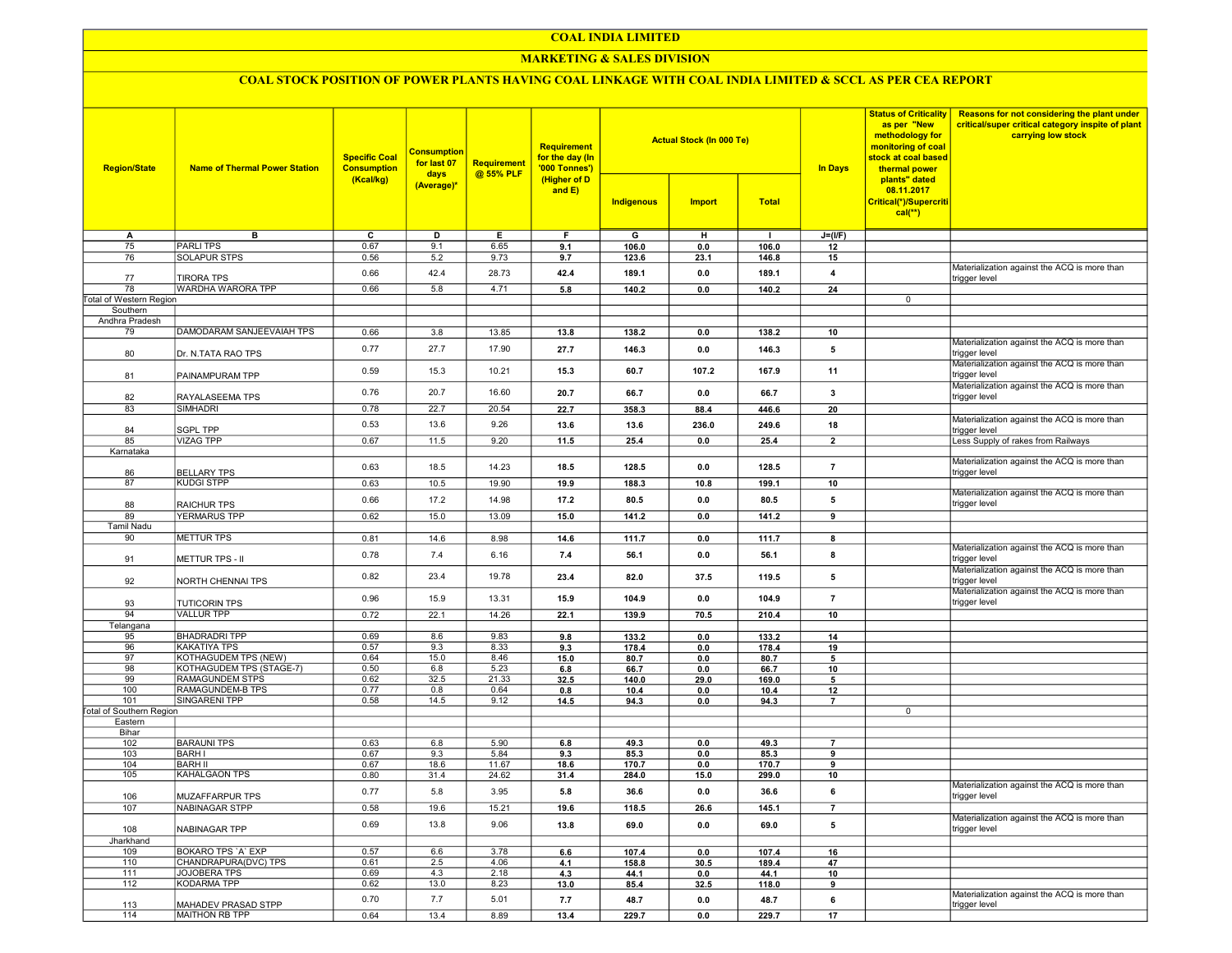## COAL INDIA LIMITED

## **MARKETING & SALES DIVISION**

# COAL STOCK POSITION OF POWER PLANTS HAVING COAL LINKAGE WITH COAL INDIA LIMITED & SCCL AS PER CEA REPORT

| <b>Region/State</b>             | <b>Name of Thermal Power Station</b> | <b>Specific Coal</b><br><b>Consumption</b><br>(Kcal/kg) | <b>Consumption</b><br>for last 07<br>days<br>(Average)* | <b>Requirement</b><br>@ 55% PLF | <b>Requirement</b><br>for the day (In<br>'000 Tonnes')<br>(Higher of D<br>and $E$ ) | <b>Actual Stock (In 000 Te)</b><br><b>Total</b><br>Indigenous<br><b>Import</b> |       |              | <b>In Days</b>          | <b>Status of Criticality</b><br>as per "New<br>methodology for<br>monitoring of coal<br>stock at coal based<br>thermal power<br>plants" dated<br>08.11.2017<br>Critical(*)/Supercriti<br>$cal(**)$ | Reasons for not considering the plant under<br>critical/super critical category inspite of plant<br>carrying low stock |
|---------------------------------|--------------------------------------|---------------------------------------------------------|---------------------------------------------------------|---------------------------------|-------------------------------------------------------------------------------------|--------------------------------------------------------------------------------|-------|--------------|-------------------------|----------------------------------------------------------------------------------------------------------------------------------------------------------------------------------------------------|------------------------------------------------------------------------------------------------------------------------|
|                                 |                                      |                                                         |                                                         |                                 |                                                                                     |                                                                                |       |              |                         |                                                                                                                                                                                                    |                                                                                                                        |
| A                               | в                                    | C                                                       | D                                                       | Е.                              | F.                                                                                  | G                                                                              | н     | $\mathbf{I}$ | $J=(I/F)$               |                                                                                                                                                                                                    |                                                                                                                        |
| 75                              | <b>PARLITPS</b>                      | 0.67                                                    | 9.1                                                     | 6.65                            | 9.1                                                                                 | 106.0                                                                          | 0.0   | 106.0        | 12                      |                                                                                                                                                                                                    |                                                                                                                        |
| 76                              | <b>SOLAPUR STPS</b>                  | 0.56                                                    | 5.2                                                     | 9.73                            | 9.7                                                                                 | 123.6                                                                          | 23.1  | 146.8        | 15                      |                                                                                                                                                                                                    |                                                                                                                        |
| 77                              | <b>TIRORA TPS</b>                    | 0.66                                                    | 42.4                                                    | 28.73                           | 42.4                                                                                | 189.1                                                                          | 0.0   | 189.1        | $\overline{\mathbf{4}}$ |                                                                                                                                                                                                    | Materialization against the ACQ is more than<br>trigger level                                                          |
| 78                              | WARDHA WARORA TPP                    | 0.66                                                    | 5.8                                                     | 4.71                            | 5.8                                                                                 | 140.2                                                                          | 0.0   | 140.2        | 24                      |                                                                                                                                                                                                    |                                                                                                                        |
| <b>Total of Western Region</b>  |                                      |                                                         |                                                         |                                 |                                                                                     |                                                                                |       |              |                         | 0                                                                                                                                                                                                  |                                                                                                                        |
| Southern                        |                                      |                                                         |                                                         |                                 |                                                                                     |                                                                                |       |              |                         |                                                                                                                                                                                                    |                                                                                                                        |
| Andhra Pradesh                  |                                      |                                                         |                                                         |                                 |                                                                                     |                                                                                |       |              |                         |                                                                                                                                                                                                    |                                                                                                                        |
| 79                              | DAMODARAM SANJEEVAIAH TPS            | 0.66                                                    | 3.8                                                     | 13.85                           | 13.8                                                                                | 138.2                                                                          | 0.0   | 138.2        | 10                      |                                                                                                                                                                                                    |                                                                                                                        |
| 80                              | Dr. N.TATA RAO TPS                   | 0.77                                                    | 27.7                                                    | 17.90                           | 27.7                                                                                | 146.3                                                                          | 0.0   | 146.3        | 5                       |                                                                                                                                                                                                    | Materialization against the ACQ is more than<br>trigger level                                                          |
| 81                              | PAINAMPURAM TPP                      | 0.59                                                    | 15.3                                                    | 10.21                           | 15.3                                                                                | 60.7                                                                           | 107.2 | 167.9        | 11                      |                                                                                                                                                                                                    | Materialization against the ACQ is more than<br>trigger level                                                          |
| 82                              | RAYALASEEMA TPS                      | 0.76                                                    | 20.7                                                    | 16.60                           | 20.7                                                                                | 66.7                                                                           | 0.0   | 66.7         | 3                       |                                                                                                                                                                                                    | Materialization against the ACQ is more than<br>trigger level                                                          |
| 83                              | <b>SIMHADRI</b>                      | 0.78                                                    | 22.7                                                    | 20.54                           | 22.7                                                                                | 358.3                                                                          | 88.4  | 446.6        | 20                      |                                                                                                                                                                                                    |                                                                                                                        |
|                                 |                                      |                                                         |                                                         |                                 |                                                                                     |                                                                                |       |              |                         |                                                                                                                                                                                                    | Materialization against the ACQ is more than                                                                           |
| 84                              | <b>SGPL TPP</b>                      | 0.53                                                    | 13.6                                                    | 9.26                            | 13.6                                                                                | 13.6                                                                           | 236.0 | 249.6        | 18                      |                                                                                                                                                                                                    | trigger level                                                                                                          |
| 85                              | <b>VIZAG TPP</b>                     | 0.67                                                    | 11.5                                                    | 9.20                            | 11.5                                                                                | 25.4                                                                           | 0.0   | 25.4         | $\overline{2}$          |                                                                                                                                                                                                    | Less Supply of rakes from Railways                                                                                     |
| Karnataka                       |                                      |                                                         |                                                         |                                 |                                                                                     |                                                                                |       |              |                         |                                                                                                                                                                                                    |                                                                                                                        |
| 86                              | <b>BELLARY TPS</b>                   | 0.63                                                    | 18.5                                                    | 14.23                           | 18.5                                                                                | 128.5                                                                          | 0.0   | 128.5        | $\overline{7}$          |                                                                                                                                                                                                    | Materialization against the ACQ is more than<br>trigger level                                                          |
| 87                              | <b>KUDGI STPP</b>                    | 0.63                                                    | 10.5                                                    | 19.90                           | 19.9                                                                                | 188.3                                                                          | 10.8  | 199.1        | 10                      |                                                                                                                                                                                                    |                                                                                                                        |
| 88                              | <b>RAICHUR TPS</b>                   | 0.66                                                    | 17.2                                                    | 14.98                           | 17.2                                                                                | 80.5                                                                           | 0.0   | 80.5         | 5                       |                                                                                                                                                                                                    | Materialization against the ACQ is more than<br>trigger level                                                          |
| 89                              | YERMARUS TPP                         | 0.62                                                    | 15.0                                                    | 13.09                           | 15.0                                                                                | 141.2                                                                          | 0.0   | 141.2        | 9                       |                                                                                                                                                                                                    |                                                                                                                        |
| Tamil Nadu                      |                                      |                                                         |                                                         |                                 |                                                                                     |                                                                                |       |              |                         |                                                                                                                                                                                                    |                                                                                                                        |
| 90                              | <b>METTUR TPS</b>                    | 0.81                                                    | 14.6                                                    | 8.98                            | 14.6                                                                                | 111.7                                                                          | 0.0   | 111.7        | 8                       |                                                                                                                                                                                                    |                                                                                                                        |
| 91                              | METTUR TPS - II                      | 0.78                                                    | 7.4                                                     | 6.16                            | 7.4                                                                                 | 56.1                                                                           | 0.0   | 56.1         | 8                       |                                                                                                                                                                                                    | Materialization against the ACQ is more than<br>trigger level                                                          |
| 92                              | NORTH CHENNAI TPS                    | 0.82                                                    | 23.4                                                    | 19.78                           | 23.4                                                                                | 82.0                                                                           | 37.5  | 119.5        | 5                       |                                                                                                                                                                                                    | Materialization against the ACQ is more than<br>trigger level                                                          |
| 93                              | <b>TUTICORIN TPS</b>                 | 0.96                                                    | 15.9                                                    | 13.31                           | 15.9                                                                                | 104.9                                                                          | 0.0   | 104.9        | $\overline{7}$          |                                                                                                                                                                                                    | Materialization against the ACQ is more than<br>trigger level                                                          |
| 94                              | <b>VALLUR TPP</b>                    | 0.72                                                    | 22.1                                                    | 14.26                           | 22.1                                                                                | 139.9                                                                          | 70.5  | 210.4        | 10                      |                                                                                                                                                                                                    |                                                                                                                        |
| Telangana                       |                                      |                                                         |                                                         |                                 |                                                                                     |                                                                                |       |              |                         |                                                                                                                                                                                                    |                                                                                                                        |
| 95                              | <b>BHADRADRI TPP</b>                 | 0.69                                                    | 8.6                                                     | 9.83                            | 9.8                                                                                 | 133.2                                                                          | 0.0   | 133.2        | 14                      |                                                                                                                                                                                                    |                                                                                                                        |
| 96                              | <b>KAKATIYA TPS</b>                  | 0.57                                                    | 9.3                                                     | 8.33                            | 9.3                                                                                 | 178.4                                                                          | 0.0   | 178.4        | 19                      |                                                                                                                                                                                                    |                                                                                                                        |
| 97                              | KOTHAGUDEM TPS (NEW)                 | 0.64                                                    | 15.0                                                    | 8.46                            | 15.0                                                                                | 80.7                                                                           | 0.0   | 80.7         | 5                       |                                                                                                                                                                                                    |                                                                                                                        |
| 98                              | KOTHAGUDEM TPS (STAGE-7)             | 0.50                                                    | 6.8                                                     | 5.23                            | 6.8                                                                                 | 66.7                                                                           | 0.0   | 66.7         | 10                      |                                                                                                                                                                                                    |                                                                                                                        |
| 99                              | RAMAGUNDEM STPS                      | 0.62                                                    | 32.5                                                    | 21.33                           | 32.5                                                                                | 140.0                                                                          | 29.0  | 169.0        | 5                       |                                                                                                                                                                                                    |                                                                                                                        |
| 100                             | RAMAGUNDEM-B TPS                     | 0.77                                                    | 0.8                                                     | 0.64                            | 0.8                                                                                 | 10.4                                                                           | 0.0   | 10.4         | 12                      |                                                                                                                                                                                                    |                                                                                                                        |
| 101                             | SINGARENI TPP                        | 0.58                                                    | 14.5                                                    | 9.12                            | 14.5                                                                                | 94.3                                                                           | 0.0   | 94.3         | $\overline{7}$          |                                                                                                                                                                                                    |                                                                                                                        |
| <b>Total of Southern Region</b> |                                      |                                                         |                                                         |                                 |                                                                                     |                                                                                |       |              |                         | 0                                                                                                                                                                                                  |                                                                                                                        |
| Eastern                         |                                      |                                                         |                                                         |                                 |                                                                                     |                                                                                |       |              |                         |                                                                                                                                                                                                    |                                                                                                                        |
| Bihar<br>102                    | <b>BARAUNI TPS</b>                   | 0.63                                                    | 6.8                                                     | 5.90                            | 6.8                                                                                 | 49.3                                                                           | 0.0   | 49.3         | $\overline{7}$          |                                                                                                                                                                                                    |                                                                                                                        |
| 103                             | <b>BARH I</b>                        | 0.67                                                    | 9.3                                                     | 5.84                            | 9.3                                                                                 | 85.3                                                                           | 0.0   | 85.3         | 9                       |                                                                                                                                                                                                    |                                                                                                                        |
| 104                             | <b>BARH II</b>                       | 0.67                                                    | 18.6                                                    | 11.67                           | 18.6                                                                                | 170.7                                                                          | 0.0   | 170.7        | 9                       |                                                                                                                                                                                                    |                                                                                                                        |
| 105                             | <b>KAHALGAON TPS</b>                 | 0.80                                                    | 31.4                                                    | 24.62                           | 31.4                                                                                | 284.0                                                                          | 15.0  | 299.0        | 10                      |                                                                                                                                                                                                    |                                                                                                                        |
| 106                             | MUZAFFARPUR TPS                      | 0.77                                                    | 5.8                                                     | 3.95                            | 5.8                                                                                 | 36.6                                                                           | 0.0   | 36.6         | 6                       |                                                                                                                                                                                                    | Materialization against the ACQ is more than<br>trigger level                                                          |
| 107                             | NABINAGAR STPP                       | 0.58                                                    | 19.6                                                    | 15.21                           | 19.6                                                                                | 118.5                                                                          | 26.6  | 145.1        | $\overline{7}$          |                                                                                                                                                                                                    |                                                                                                                        |
| 108                             | NABINAGAR TPP                        | 0.69                                                    | 13.8                                                    | 9.06                            | 13.8                                                                                | 69.0                                                                           | 0.0   | 69.0         | 5                       |                                                                                                                                                                                                    | Materialization against the ACQ is more than<br>trigger level                                                          |
| Jharkhand                       |                                      |                                                         |                                                         |                                 |                                                                                     |                                                                                |       |              |                         |                                                                                                                                                                                                    |                                                                                                                        |
| 109                             | BOKARO TPS 'A' EXP                   | 0.57                                                    | 6.6                                                     | 3.78                            | 6.6                                                                                 | 107.4                                                                          | 0.0   | 107.4        | 16                      |                                                                                                                                                                                                    |                                                                                                                        |
| 110                             | CHANDRAPURA(DVC) TPS                 | 0.61                                                    | 2.5                                                     | 4.06                            | 4.1                                                                                 | 158.8                                                                          | 30.5  | 189.4        | 47                      |                                                                                                                                                                                                    |                                                                                                                        |
| 111                             | JOJOBERA TPS                         | 0.69                                                    | 4.3                                                     | 2.18                            | 4.3                                                                                 | 44.1                                                                           | 0.0   | 44.1         | 10                      |                                                                                                                                                                                                    |                                                                                                                        |
| 112                             | KODARMA TPP                          | 0.62                                                    | 13.0                                                    | 8.23                            | 13.0                                                                                | 85.4                                                                           | 32.5  | 118.0        | 9                       |                                                                                                                                                                                                    |                                                                                                                        |
| 113                             | MAHADEV PRASAD STPP                  | 0.70                                                    | 7.7                                                     | 5.01                            | 7.7                                                                                 | 48.7                                                                           | 0.0   | 48.7         | 6                       |                                                                                                                                                                                                    | Materialization against the ACQ is more than<br>trigger level                                                          |
| 114                             | MAITHON RB TPP                       | 0.64                                                    | 13.4                                                    | 8.89                            | 13.4                                                                                | 229.7                                                                          | 0.0   | 229.7        | 17                      |                                                                                                                                                                                                    |                                                                                                                        |